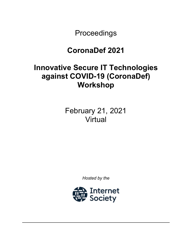Proceedings

# **CoronaDef 2021**

# **Innovative Secure IT Technologies against COVID-19 (CoronaDef) Workshop**

February 21, 2021 Virtual

*Hosted by the*

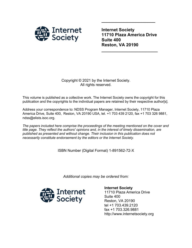

**Internet Society 11710 Plaza America Drive Suite 400 Reston, VA 20190**

**\_\_\_\_\_\_\_\_\_\_\_\_\_\_\_\_\_\_\_\_\_\_\_**

**\_\_\_\_\_\_\_\_\_\_\_\_\_\_\_\_\_\_\_\_\_\_**

### Copyright © 2021 by the Internet Society. All rights reserved.

This volume is published as a collective work. The Internet Society owns the copyright for this publication and the copyrights to the individual papers are retained by their respective author[s].

Address your correspondence to: NDSS Program Manager, Internet Society, 11710 Plaza America Drive, Suite 400, Reston, VA 20190 USA, tel. +1 703 439 2120, fax +1 703 326 9881, ndss@elists.isoc.org.

*The papers included here comprise the proceedings of the meeting mentioned on the cover and title page. They reflect the authors' opinions and, in the interest of timely dissemination, are published as presented and without change. Their inclusion in this publication does not necessarily constitute endorsement by the editors or the Internet Society.*

ISBN Number (Digital Format) 1-891562-72-X

*Additional copies may be ordered from:*



**Internet Society** 11710 Plaza America Drive Suite 400 Reston, VA 20190 tel +1 703.439.2120 fax +1 703.326.9881 http://www.internetsociety.org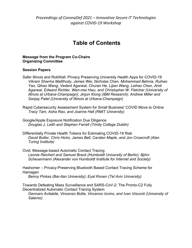*Proceedings of CoronaDef 2021 – Innovative Secure IT Technologies against COVID-19 Workshop*

## **Table of Contents**

#### **Message from the Program Co-Chairs Organizing Committee**

#### **Session Papers**

Safer Illinois and RokWall: Privacy Preserving University Health Apps for COVID-19 *Vikram Sharma Mailthody, James Wei, Nicholas Chen, Mohammad Behnia, Ruihao Yao, Qihao Wang, Vedant Agarwal, Churan He, Lijian Wang, Leihao Chen, Amit Agarwal, Edward Richter, Wen-mei Hwu, and Christopher W. Fletcher (University of Illinois at Urbana-Champaign); Jinjun Xiong (IBM Research); Andrew Miller and Sanjay Patel (University of Illinois at Urbana-Champaign)*

- Rapid Cybersecurity Assessment System for Small Business' COVID Move to Online *Tracy Tam, Asha Rao, and Joanne Hall (RMIT University)*
- Google/Apple Exposure Notification Due Diligence *Douglas J. Leith and Stephen Farrell (Trinity College Dublin)*
- Differentially Private Health Tokens for Estimating COVID-19 Risk *David Butler, Chris Hicks, James Bell, Carsten Maple, and Jon Crowcroft (Alan Turing Institute)*
- Ovid: Message-based Automatic Contact Tracing *Leonie Reichert and Samuel Brack (Humboldt University of Berlin); Björn Scheuermann (Alexander von Humboldt Institute for Internet and Society)*

Hashomer – Privacy-Preserving Bluetooth Based Contact Tracing Scheme for Hamagen

*Benny Pinkas (Bar-Ilan University); Eyal Ronen (Tel Aviv University)*

Towards Defeating Mass Surveillance and SARS-CoV-2: The Pronto-C2 Fully Decentralized Automatic Contact Tracing System

*Gennaro Avitabile, Vincenzo Botta, Vincenzo Iovino, and Ivan Visconti (University of Salerno)*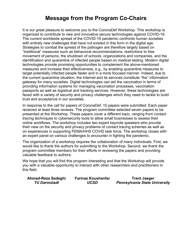## **Message from the Program Co-Chairs**

It is our great pleasure to welcome you to the CoronaDef Workshop. This workshop is organized to contribute to new and innovative secure technologies against COVID-19. The current worldwide spread of the COVID-19 pandemic confronts human societies with entirely new challenges that have not existed in this form in the digital age. Strategies to combat the spread of the pathogen are therefore largely based on "traditional" measures such as behavioral recommendations, restrictions to free movement of persons, the shutdown of schools, organizations and companies, and the identification and quarantine of infected people based on medical testing. Modern digital technologies provide promising opportunities to complement the above-mentioned measures and increase their effectiveness, e.g., by enabling quarantine measures to target potentially infected people faster and in a more focused manner. Indeed, due to the current quarantine situation, the Internet and its services constitute "the" information gateway for many societies. Digital technologies can aid the vaccination in terms of providing information systems for managing vaccination processes, vaccination passports as well as logistical and tracking services. However, these technologies are faced with a variety of security and privacy challenges which they need to tackle to build trust and acceptance in our societies.

In response to the call for papers of CoronaDef, 10 papers were submitted. Each paper received at least three reviews. The program committee selected seven papers to be presented at the Workshop. These papers cover a different topic, ranging from contact tracing techniques to cybersecurity tools to allow small businesses to assess their online workflows. The workshop includes two expert keynote speakers who provide their view on the security and privacy problems of contact tracing schemes as well as on experiences in supporting FEMA/HHS COVID task force. The workshop closes with an expert panel on various challenges to encounter in fighting the pandemic.

The organization of a workshop requires the collaboration of many individuals. First, we would like to thank the authors for submitting to the Workshop. Second, we thank the program committee members for their efforts in reviewing the papers and providing valuable feedback to authors.

We hope that you will find this program interesting and that the Workshop will provide you with a valuable opportunity to interact with other researchers and practitioners in this field.

| Ahmad-Reza Sadeghi  | <b>Farinaz Koushanfar</b> | <b>Trent Jaeger</b>                  |
|---------------------|---------------------------|--------------------------------------|
| <b>TU Darmstadt</b> | <b>UCSD</b>               | <b>Pennsylvania State University</b> |